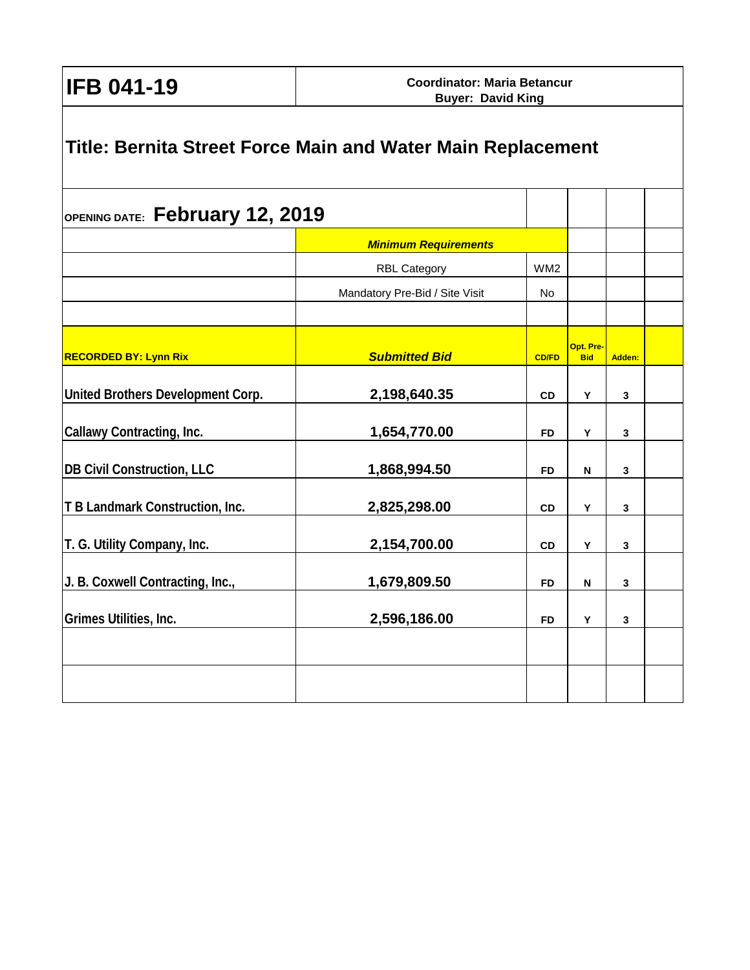**IFB 041-19**

| OPENING DATE: February 12, 2019   |                                |                 |                         |        |  |
|-----------------------------------|--------------------------------|-----------------|-------------------------|--------|--|
|                                   | <b>Minimum Requirements</b>    |                 |                         |        |  |
|                                   | <b>RBL Category</b>            | WM <sub>2</sub> |                         |        |  |
|                                   | Mandatory Pre-Bid / Site Visit | No              |                         |        |  |
| <b>RECORDED BY: Lynn Rix</b>      | <b>Submitted Bid</b>           | <b>CD/FD</b>    | Opt. Pre-<br><b>Bid</b> | Adden: |  |
| United Brothers Development Corp. | 2,198,640.35                   | <b>CD</b>       | Y                       | 3      |  |
| Callawy Contracting, Inc.         | 1,654,770.00                   | FD              | Y                       | 3      |  |
| <b>DB Civil Construction, LLC</b> | 1,868,994.50                   | <b>FD</b>       | N                       | 3      |  |
| T B Landmark Construction, Inc.   | 2,825,298.00                   | <b>CD</b>       | Υ                       | 3      |  |
| T. G. Utility Company, Inc.       | 2,154,700.00                   | <b>CD</b>       | Υ                       | 3      |  |
| J. B. Coxwell Contracting, Inc.,  | 1,679,809.50                   | FD              | N                       | 3      |  |
| Grimes Utilities, Inc.            | 2,596,186.00                   | <b>FD</b>       | Υ                       | 3      |  |
|                                   |                                |                 |                         |        |  |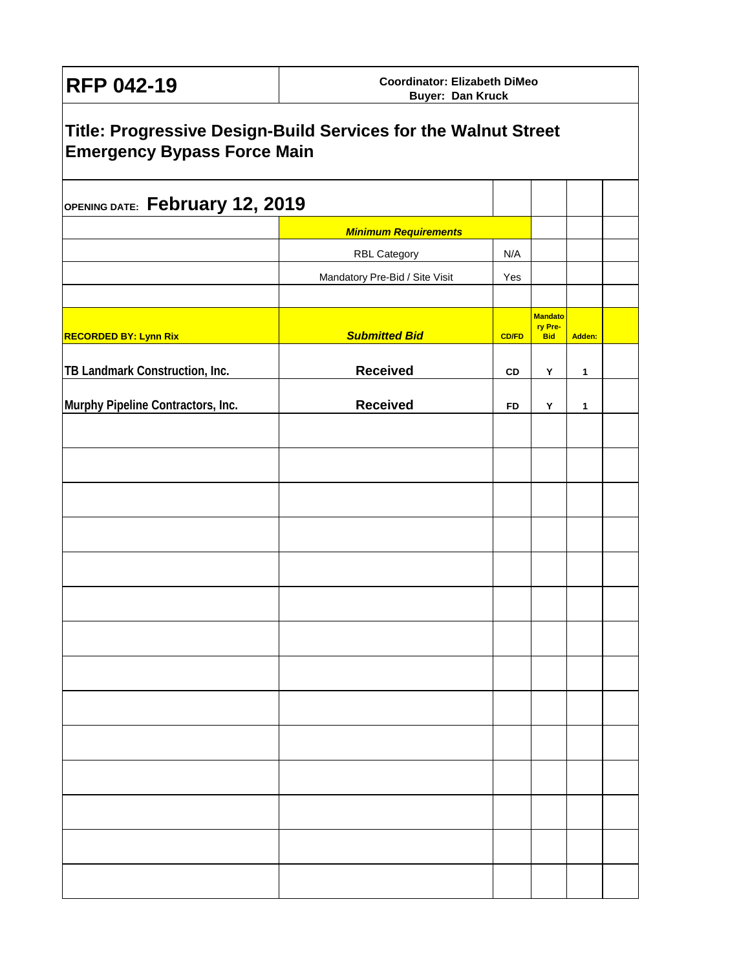| <b>RFP 042-19</b>                                                                                    | <b>Coordinator: Elizabeth DiMeo</b><br><b>Buyer: Dan Kruck</b> |              |                           |        |  |  |  |  |  |  |
|------------------------------------------------------------------------------------------------------|----------------------------------------------------------------|--------------|---------------------------|--------|--|--|--|--|--|--|
| Title: Progressive Design-Build Services for the Walnut Street<br><b>Emergency Bypass Force Main</b> |                                                                |              |                           |        |  |  |  |  |  |  |
| OPENING DATE: February 12, 2019                                                                      |                                                                |              |                           |        |  |  |  |  |  |  |
|                                                                                                      | <b>Minimum Requirements</b>                                    |              |                           |        |  |  |  |  |  |  |
|                                                                                                      | <b>RBL Category</b>                                            | N/A          |                           |        |  |  |  |  |  |  |
|                                                                                                      | Mandatory Pre-Bid / Site Visit                                 | Yes          |                           |        |  |  |  |  |  |  |
|                                                                                                      |                                                                |              |                           |        |  |  |  |  |  |  |
|                                                                                                      |                                                                |              | <b>Mandato</b><br>ry Pre- |        |  |  |  |  |  |  |
| <b>RECORDED BY: Lynn Rix</b>                                                                         | <b>Submitted Bid</b>                                           | <b>CD/FD</b> | <b>Bid</b>                | Adden: |  |  |  |  |  |  |
| TB Landmark Construction, Inc.                                                                       | <b>Received</b>                                                | CD           | Y                         | 1      |  |  |  |  |  |  |
|                                                                                                      |                                                                |              |                           |        |  |  |  |  |  |  |
| Murphy Pipeline Contractors, Inc.                                                                    | <b>Received</b>                                                | FD           | Y                         | 1      |  |  |  |  |  |  |
|                                                                                                      |                                                                |              |                           |        |  |  |  |  |  |  |
|                                                                                                      |                                                                |              |                           |        |  |  |  |  |  |  |
|                                                                                                      |                                                                |              |                           |        |  |  |  |  |  |  |
|                                                                                                      |                                                                |              |                           |        |  |  |  |  |  |  |
|                                                                                                      |                                                                |              |                           |        |  |  |  |  |  |  |
|                                                                                                      |                                                                |              |                           |        |  |  |  |  |  |  |
|                                                                                                      |                                                                |              |                           |        |  |  |  |  |  |  |
|                                                                                                      |                                                                |              |                           |        |  |  |  |  |  |  |
|                                                                                                      |                                                                |              |                           |        |  |  |  |  |  |  |
|                                                                                                      |                                                                |              |                           |        |  |  |  |  |  |  |
|                                                                                                      |                                                                |              |                           |        |  |  |  |  |  |  |
|                                                                                                      |                                                                |              |                           |        |  |  |  |  |  |  |
|                                                                                                      |                                                                |              |                           |        |  |  |  |  |  |  |
|                                                                                                      |                                                                |              |                           |        |  |  |  |  |  |  |
|                                                                                                      |                                                                |              |                           |        |  |  |  |  |  |  |
|                                                                                                      |                                                                |              |                           |        |  |  |  |  |  |  |
|                                                                                                      |                                                                |              |                           |        |  |  |  |  |  |  |
|                                                                                                      |                                                                |              |                           |        |  |  |  |  |  |  |
|                                                                                                      |                                                                |              |                           |        |  |  |  |  |  |  |
|                                                                                                      |                                                                |              |                           |        |  |  |  |  |  |  |